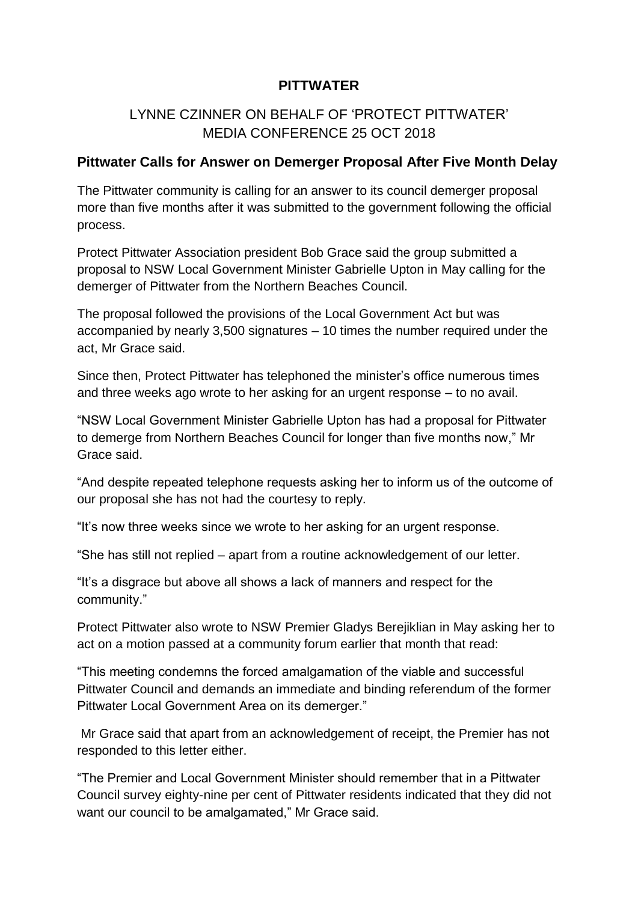### **PITTWATER**

## LYNNE CZINNER ON BEHALF OF 'PROTECT PITTWATER' MEDIA CONFERENCE 25 OCT 2018

#### **Pittwater Calls for Answer on Demerger Proposal After Five Month Delay**

The Pittwater community is calling for an answer to its council demerger proposal more than five months after it was submitted to the government following the official process.

Protect Pittwater Association president Bob Grace said the group submitted a proposal to NSW Local Government Minister Gabrielle Upton in May calling for the demerger of Pittwater from the Northern Beaches Council.

The proposal followed the provisions of the Local Government Act but was accompanied by nearly 3,500 signatures – 10 times the number required under the act, Mr Grace said.

Since then, Protect Pittwater has telephoned the minister's office numerous times and three weeks ago wrote to her asking for an urgent response – to no avail.

"NSW Local Government Minister Gabrielle Upton has had a proposal for Pittwater to demerge from Northern Beaches Council for longer than five months now," Mr Grace said.

"And despite repeated telephone requests asking her to inform us of the outcome of our proposal she has not had the courtesy to reply.

"It's now three weeks since we wrote to her asking for an urgent response.

"She has still not replied – apart from a routine acknowledgement of our letter.

"It's a disgrace but above all shows a lack of manners and respect for the community."

Protect Pittwater also wrote to NSW Premier Gladys Berejiklian in May asking her to act on a motion passed at a community forum earlier that month that read:

"This meeting condemns the forced amalgamation of the viable and successful Pittwater Council and demands an immediate and binding referendum of the former Pittwater Local Government Area on its demerger."

Mr Grace said that apart from an acknowledgement of receipt, the Premier has not responded to this letter either.

"The Premier and Local Government Minister should remember that in a Pittwater Council survey eighty-nine per cent of Pittwater residents indicated that they did not want our council to be amalgamated," Mr Grace said.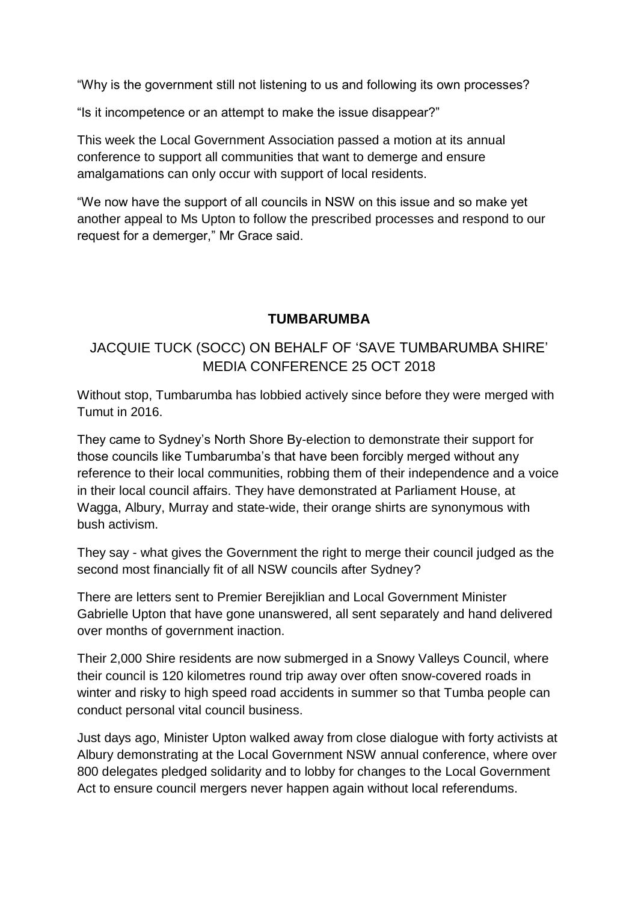"Why is the government still not listening to us and following its own processes?

"Is it incompetence or an attempt to make the issue disappear?"

This week the Local Government Association passed a motion at its annual conference to support all communities that want to demerge and ensure amalgamations can only occur with support of local residents.

"We now have the support of all councils in NSW on this issue and so make yet another appeal to Ms Upton to follow the prescribed processes and respond to our request for a demerger," Mr Grace said.

### **TUMBARUMBA**

# JACQUIE TUCK (SOCC) ON BEHALF OF 'SAVE TUMBARUMBA SHIRE' MEDIA CONFERENCE 25 OCT 2018

Without stop, Tumbarumba has lobbied actively since before they were merged with Tumut in 2016.

They came to Sydney's North Shore By-election to demonstrate their support for those councils like Tumbarumba's that have been forcibly merged without any reference to their local communities, robbing them of their independence and a voice in their local council affairs. They have demonstrated at Parliament House, at Wagga, Albury, Murray and state-wide, their orange shirts are synonymous with bush activism.

They say - what gives the Government the right to merge their council judged as the second most financially fit of all NSW councils after Sydney?

There are letters sent to Premier Berejiklian and Local Government Minister Gabrielle Upton that have gone unanswered, all sent separately and hand delivered over months of government inaction.

Their 2,000 Shire residents are now submerged in a Snowy Valleys Council, where their council is 120 kilometres round trip away over often snow-covered roads in winter and risky to high speed road accidents in summer so that Tumba people can conduct personal vital council business.

Just days ago, Minister Upton walked away from close dialogue with forty activists at Albury demonstrating at the Local Government NSW annual conference, where over 800 delegates pledged solidarity and to lobby for changes to the Local Government Act to ensure council mergers never happen again without local referendums.